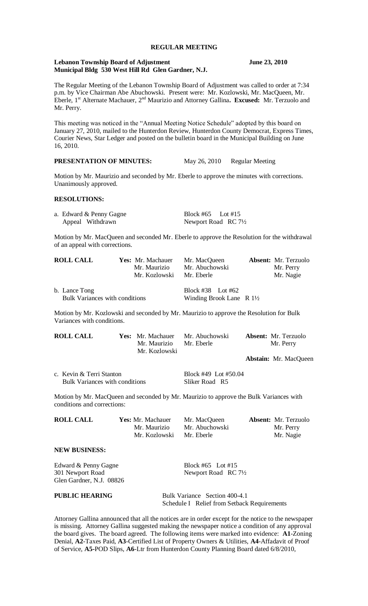## **REGULAR MEETING**

#### **Lebanon Township Board of Adjustment June 23, 2010 Municipal Bldg 530 West Hill Rd Glen Gardner, N.J.**

The Regular Meeting of the Lebanon Township Board of Adjustment was called to order at 7:34 p.m. by Vice Chairman Abe Abuchowski. Present were: Mr. Kozlowski, Mr. MacQueen, Mr. Eberle, 1st Alternate Machauer, 2nd Maurizio and Attorney Gallina**. Excused:** Mr. Terzuolo and Mr. Perry.

This meeting was noticed in the "Annual Meeting Notice Schedule" adopted by this board on January 27, 2010, mailed to the Hunterdon Review, Hunterdon County Democrat, Express Times, Courier News, Star Ledger and posted on the bulletin board in the Municipal Building on June 16, 2010.

# **PRESENTATION OF MINUTES:** May 26, 2010 Regular Meeting

Motion by Mr. Maurizio and seconded by Mr. Eberle to approve the minutes with corrections. Unanimously approved.

## **RESOLUTIONS:**

| a. Edward & Penny Gagne | Block #65 Lot #15    |
|-------------------------|----------------------|
| Appeal Withdrawn        | Newport Road RC 71/2 |

Motion by Mr. MacQueen and seconded Mr. Eberle to approve the Resolution for the withdrawal of an appeal with corrections.

| <b>ROLL CALL</b>                      | <b>Yes:</b> Mr. Machauer | Mr. MacQueen                          | <b>Absent:</b> Mr. Terzuolo |
|---------------------------------------|--------------------------|---------------------------------------|-----------------------------|
|                                       | Mr. Maurizio             | Mr. Abuchowski                        | Mr. Perry                   |
|                                       | Mr. Kozlowski            | Mr. Eberle                            | Mr. Nagie                   |
| b. Lance Tong                         |                          | Block #38 Lot #62                     |                             |
| <b>Bulk Variances with conditions</b> |                          | Winding Brook Lane $\ R 1\frac{1}{2}$ |                             |

Motion by Mr. Kozlowski and seconded by Mr. Maurizio to approve the Resolution for Bulk Variances with conditions.

| <b>ROLL CALL</b>         | Mr. Maurizio<br>Mr. Kozlowski | <b>Yes:</b> Mr. Machauer Mr. Abuchowski<br>Mr. Eberle | <b>Absent:</b> Mr. Terzuolo<br>Mr. Perry |                              |
|--------------------------|-------------------------------|-------------------------------------------------------|------------------------------------------|------------------------------|
|                          |                               |                                                       |                                          | <b>Abstain:</b> Mr. MacQueen |
| c. Kevin & Terri Stanton |                               | Block #49 Lot #50.04                                  |                                          |                              |

**Bulk Variances with conditions Sliker Road R5** 

Motion by Mr. MacQueen and seconded by Mr. Maurizio to approve the Bulk Variances with conditions and corrections:

| <b>ROLL CALL</b> | Yes: Mr. Machauer | Mr. MacQueen   | <b>Absent:</b> Mr. Terzuolo |
|------------------|-------------------|----------------|-----------------------------|
|                  | Mr. Maurizio      | Mr. Abuchowski | Mr. Perry                   |
|                  | Mr. Kozlowski     | Mr. Eberle     | Mr. Nagie                   |
|                  |                   |                |                             |

# Edward & Penny Gagne Block #65 Lot #15 301 Newport Road Newport Road RC 71/2 Glen Gardner, N.J. 08826

**NEW BUSINESS:**

**PUBLIC HEARING** Bulk Variance Section 400-4.1 Schedule I Relief from Setback Requirements

Attorney Gallina announced that all the notices are in order except for the notice to the newspaper is missing. Attorney Gallina suggested making the newspaper notice a condition of any approval the board gives. The board agreed. The following items were marked into evidence: **A1**-Zoning Denial, **A2**-Taxes Paid, **A3**-Certified List of Property Owners & Utilities, **A4**-Affadavit of Proof of Service, **A5-**POD Slips, **A6**-Ltr from Hunterdon County Planning Board dated 6/8/2010,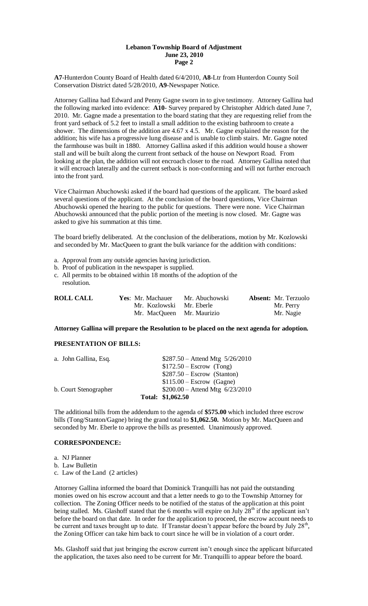# **Lebanon Township Board of Adjustment June 23, 2010 Page 2**

**A7**-Hunterdon County Board of Health dated 6/4/2010, **A8**-Ltr from Hunterdon County Soil Conservation District dated 5/28/2010, **A9**-Newspaper Notice.

Attorney Gallina had Edward and Penny Gagne sworn in to give testimony. Attorney Gallina had the following marked into evidence: **A10**- Survey prepared by Christopher Aldrich dated June 7, 2010. Mr. Gagne made a presentation to the board stating that they are requesting relief from the front yard setback of 5.2 feet to install a small addition to the existing bathroom to create a shower. The dimensions of the addition are 4.67 x 4.5. Mr. Gagne explained the reason for the addition; his wife has a progressive lung disease and is unable to climb stairs. Mr. Gagne noted the farmhouse was built in 1880. Attorney Gallina asked if this addition would house a shower stall and will be built along the current front setback of the house on Newport Road. From looking at the plan, the addition will not encroach closer to the road. Attorney Gallina noted that it will encroach laterally and the current setback is non-conforming and will not further encroach into the front yard.

Vice Chairman Abuchowski asked if the board had questions of the applicant. The board asked several questions of the applicant. At the conclusion of the board questions, Vice Chairman Abuchowski opened the hearing to the public for questions. There were none. Vice Chairman Abuchowski announced that the public portion of the meeting is now closed. Mr. Gagne was asked to give his summation at this time.

The board briefly deliberated. At the conclusion of the deliberations, motion by Mr. Kozlowski and seconded by Mr. MacQueen to grant the bulk variance for the addition with conditions:

- a. Approval from any outside agencies having jurisdiction.
- b. Proof of publication in the newspaper is supplied.
- c. All permits to be obtained within 18 months of the adoption of the resolution.

| <b>ROLL CALL</b> | Yes: Mr. Machauer         | Mr. Abuchowski | <b>Absent:</b> Mr. Terzuolo |
|------------------|---------------------------|----------------|-----------------------------|
|                  | Mr. Kozlowski Mr. Eberle  |                | Mr. Perry                   |
|                  | Mr. MacQueen Mr. Maurizio |                | Mr. Nagie                   |

**Attorney Gallina will prepare the Resolution to be placed on the next agenda for adoption.**

# **PRESENTATION OF BILLS:**

| a. John Gallina, Esq. | $$287.50 - Attend Mtg 5/26/2010$ |
|-----------------------|----------------------------------|
|                       | $$172.50 - Escrow$ (Tong)        |
|                       | $$287.50 - Escrow$ (Stanton)     |
|                       | $$115.00 - Escrow$ (Gagne)       |
| b. Court Stenographer | $$200.00 -$ Attend Mtg 6/23/2010 |
|                       | Total: \$1,062.50                |

The additional bills from the addendum to the agenda of **\$575.00** which included three escrow bills (Tong/Stanton/Gagne) bring the grand total to **\$1,062.50.** Motion by Mr. MacQueen and seconded by Mr. Eberle to approve the bills as presented. Unanimously approved.

# **CORRESPONDENCE:**

a. NJ Planner

b. Law Bulletin

c. Law of the Land (2 articles)

Attorney Gallina informed the board that Dominick Tranquilli has not paid the outstanding monies owed on his escrow account and that a letter needs to go to the Township Attorney for collection. The Zoning Officer needs to be notified of the status of the application at this point being stalled. Ms. Glashoff stated that the 6 months will expire on July  $28<sup>th</sup>$  if the applicant isn't before the board on that date. In order for the application to proceed, the escrow account needs to be current and taxes brought up to date. If Transtar doesn't appear before the board by July  $28<sup>th</sup>$ , the Zoning Officer can take him back to court since he will be in violation of a court order.

Ms. Glashoff said that just bringing the escrow current isn't enough since the applicant bifurcated the application, the taxes also need to be current for Mr. Tranquilli to appear before the board.